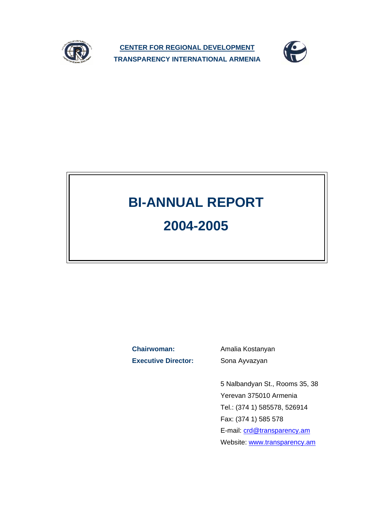

**CENTER FOR REGIONAL DEVELOPMENT TRANSPARENCY INTERNATIONAL ARMENIA**



# **BI-ANNUAL REPORT 2004-2005**

**Chairwoman:** Amalia Kostanyan **Executive Director:** Sona Ayvazyan

5 Nalbandyan St., Rooms 35, 38 Yerevan 375010 Armenia Tel.: (374 1) 585578, 526914 Fax: (374 1) 585 578 E-mail: crd@transparency.am Website: www.transparency.am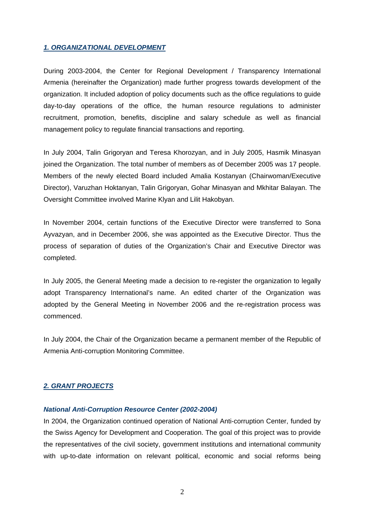## *1. ORGANIZATIONAL DEVELOPMENT*

During 2003-2004, the Center for Regional Development / Transparency International Armenia (hereinafter the Organization) made further progress towards development of the organization. It included adoption of policy documents such as the office regulations to guide day-to-day operations of the office, the human resource regulations to administer recruitment, promotion, benefits, discipline and salary schedule as well as financial management policy to regulate financial transactions and reporting.

In July 2004, Talin Grigoryan and Teresa Khorozyan, and in July 2005, Hasmik Minasyan joined the Organization. The total number of members as of December 2005 was 17 people. Members of the newly elected Board included Amalia Kostanyan (Chairwoman/Executive Director), Varuzhan Hoktanyan, Talin Grigoryan, Gohar Minasyan and Mkhitar Balayan. The Oversight Committee involved Marine Klyan and Lilit Hakobyan.

In November 2004, certain functions of the Executive Director were transferred to Sona Ayvazyan, and in December 2006, she was appointed as the Executive Director. Thus the process of separation of duties of the Organization's Chair and Executive Director was completed.

In July 2005, the General Meeting made a decision to re-register the organization to legally adopt Transparency International's name. An edited charter of the Organization was adopted by the General Meeting in November 2006 and the re-registration process was commenced.

In July 2004, the Chair of the Organization became a permanent member of the Republic of Armenia Anti-corruption Monitoring Committee.

## *2. GRANT PROJECTS*

## *National Anti-Corruption Resource Center (2002-2004)*

In 2004, the Organization continued operation of National Anti-corruption Center, funded by the Swiss Agency for Development and Cooperation. The goal of this project was to provide the representatives of the civil society, government institutions and international community with up-to-date information on relevant political, economic and social reforms being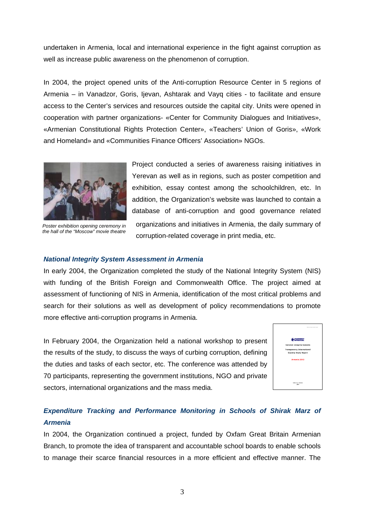undertaken in Armenia, local and international experience in the fight against corruption as well as increase public awareness on the phenomenon of corruption.

In 2004, the project opened units of the Anti-corruption Resource Center in 5 regions of Armenia – in Vanadzor, Goris, Ijevan, Ashtarak and Vayq cities - to facilitate and ensure access to the Center's services and resources outside the capital city. Units were opened in cooperation with partner organizations- «Center for Community Dialogues and Initiatives», «Armenian Constitutional Rights Protection Center», «Teachers' Union of Goris», «Work and Homeland» and «Communities Finance Officers' Association» NGOs.



*Poster exhibition opening ceremony in the hall of the "Moscow" movie theatre* 

Project conducted a series of awareness raising initiatives in Yerevan as well as in regions, such as poster competition and exhibition, essay contest among the schoolchildren, etc. In addition, the Organization's website was launched to contain a database of anti-corruption and good governance related organizations and initiatives in Armenia, the daily summary of corruption-related coverage in print media, etc.

#### *National Integrity System Assessment in Armenia*

In early 2004, the Organization completed the study of the National Integrity System (NIS) with funding of the British Foreign and Commonwealth Office. The project aimed at assessment of functioning of NIS in Armenia, identification of the most critical problems and search for their solutions as well as development of policy recommendations to promote more effective anti-corruption programs in Armenia.

In February 2004, the Organization held a national workshop to present the results of the study, to discuss the ways of curbing corruption, defining the duties and tasks of each sector, etc. The conference was attended by 70 participants, representing the government institutions, NGO and private sectors, international organizations and the mass media.



# *Expenditure Tracking and Performance Monitoring in Schools of Shirak Marz of Armenia*

In 2004, the Organization continued a project, funded by Oxfam Great Britain Armenian Branch, to promote the idea of transparent and accountable school boards to enable schools to manage their scarce financial resources in a more efficient and effective manner. The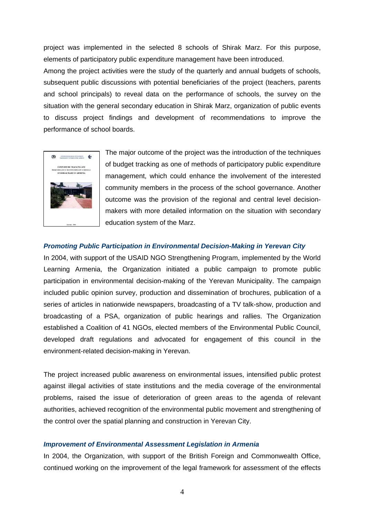project was implemented in the selected 8 schools of Shirak Marz. For this purpose, elements of participatory public expenditure management have been introduced.

Among the project activities were the study of the quarterly and annual budgets of schools, subsequent public discussions with potential beneficiaries of the project (teachers, parents and school principals) to reveal data on the performance of schools, the survey on the situation with the general secondary education in Shirak Marz, organization of public events to discuss project findings and development of recommendations to improve the performance of school boards.



The major outcome of the project was the introduction of the techniques of budget tracking as one of methods of participatory public expenditure management, which could enhance the involvement of the interested community members in the process of the school governance. Another outcome was the provision of the regional and central level decisionmakers with more detailed information on the situation with secondary education system of the Marz.

## *Promoting Public Participation in Environmental Decision-Making in Yerevan City*

In 2004, with support of the USAID NGO Strengthening Program, implemented by the World Learning Armenia, the Organization initiated a public campaign to promote public participation in environmental decision-making of the Yerevan Municipality. The campaign included public opinion survey, production and dissemination of brochures, publication of a series of articles in nationwide newspapers, broadcasting of a TV talk-show, production and broadcasting of a PSA, organization of public hearings and rallies. The Organization established a Coalition of 41 NGOs, elected members of the Environmental Public Council, developed draft regulations and advocated for engagement of this council in the environment-related decision-making in Yerevan.

The project increased public awareness on environmental issues, intensified public protest against illegal activities of state institutions and the media coverage of the environmental problems, raised the issue of deterioration of green areas to the agenda of relevant authorities, achieved recognition of the environmental public movement and strengthening of the control over the spatial planning and construction in Yerevan City.

#### *Improvement of Environmental Assessment Legislation in Armenia*

In 2004, the Organization, with support of the British Foreign and Commonwealth Office, continued working on the improvement of the legal framework for assessment of the effects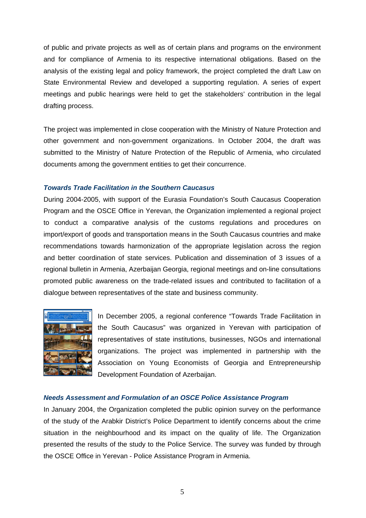of public and private projects as well as of certain plans and programs on the environment and for compliance of Armenia to its respective international obligations. Based on the analysis of the existing legal and policy framework, the project completed the draft Law on State Environmental Review and developed a supporting regulation. A series of expert meetings and public hearings were held to get the stakeholders' contribution in the legal drafting process.

The project was implemented in close cooperation with the Ministry of Nature Protection and other government and non-government organizations. In October 2004, the draft was submitted to the Ministry of Nature Protection of the Republic of Armenia, who circulated documents among the government entities to get their concurrence.

## *Towards Trade Facilitation in the Southern Caucasus*

During 2004-2005, with support of the Eurasia Foundation's South Caucasus Cooperation Program and the OSCE Office in Yerevan, the Organization implemented a regional project to conduct a comparative analysis of the customs regulations and procedures on import/export of goods and transportation means in the South Caucasus countries and make recommendations towards harmonization of the appropriate legislation across the region and better coordination of state services. Publication and dissemination of 3 issues of a regional bulletin in Armenia, Azerbaijan Georgia, regional meetings and on-line consultations promoted public awareness on the trade-related issues and contributed to facilitation of a dialogue between representatives of the state and business community.



In December 2005, a regional conference "Towards Trade Facilitation in the South Caucasus" was organized in Yerevan with participation of representatives of state institutions, businesses, NGOs and international organizations. The project was implemented in partnership with the Association on Young Economists of Georgia and Entrepreneurship Development Foundation of Azerbaijan.

#### *Needs Assessment and Formulation of an OSCE Police Assistance Program*

In January 2004, the Organization completed the public opinion survey on the performance of the study of the Arabkir District's Police Department to identify concerns about the crime situation in the neighbourhood and its impact on the quality of life. The Organization presented the results of the study to the Police Service. The survey was funded by through the OSCE Office in Yerevan - Police Assistance Program in Armenia.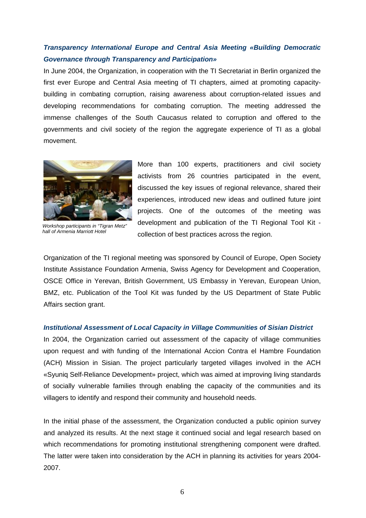# *Transparency International Europe and Central Asia Meeting «Building Democratic Governance through Transparency and Participation»*

In June 2004, the Organization, in cooperation with the TI Secretariat in Berlin organized the first ever Europe and Central Asia meeting of TI chapters, aimed at promoting capacitybuilding in combating corruption, raising awareness about corruption-related issues and developing recommendations for combating corruption. The meeting addressed the immense challenges of the South Caucasus related to corruption and offered to the governments and civil society of the region the aggregate experience of TI as a global movement.



*Workshop participants in "Tigran Metz" hall of Armenia Marriott Hotel* 

More than 100 experts, practitioners and civil society activists from 26 countries participated in the event, discussed the key issues of regional relevance, shared their experiences, introduced new ideas and outlined future joint projects. One of the outcomes of the meeting was development and publication of the TI Regional Tool Kit collection of best practices across the region.

Organization of the TI regional meeting was sponsored by Council of Europe, Open Society Institute Assistance Foundation Armenia, Swiss Agency for Development and Cooperation, OSCE Office in Yerevan, British Government, US Embassy in Yerevan, European Union, BMZ, etc. Publication of the Tool Kit was funded by the US Department of State Public Affairs section grant.

#### *Institutional Assessment of Local Capacity in Village Communities of Sisian District*

In 2004, the Organization carried out assessment of the capacity of village communities upon request and with funding of the International Accion Contra el Hambre Foundation (ACH) Mission in Sisian. The project particularly targeted villages involved in the ACH «Syuniq Self-Reliance Development» project, which was aimed at improving living standards of socially vulnerable families through enabling the capacity of the communities and its villagers to identify and respond their community and household needs.

In the initial phase of the assessment, the Organization conducted a public opinion survey and analyzed its results. At the next stage it continued social and legal research based on which recommendations for promoting institutional strengthening component were drafted. The latter were taken into consideration by the ACH in planning its activities for years 2004- 2007.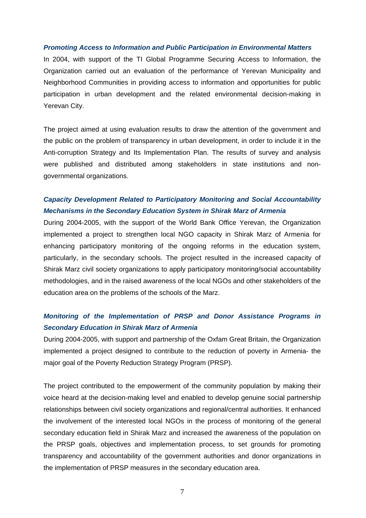#### *Promoting Access to Information and Public Participation in Environmental Matters*

In 2004, with support of the TI Global Programme Securing Access to Information, the Organization carried out an evaluation of the performance of Yerevan Municipality and Neighborhood Communities in providing access to information and opportunities for public participation in urban development and the related environmental decision-making in Yerevan City.

The project aimed at using evaluation results to draw the attention of the government and the public on the problem of transparency in urban development, in order to include it in the Anti-corruption Strategy and Its Implementation Plan. The results of survey and analysis were published and distributed among stakeholders in state institutions and nongovernmental organizations.

# *Capacity Development Related to Participatory Monitoring and Social Accountability Mechanisms in the Secondary Education System in Shirak Marz of Armenia*

During 2004-2005, with the support of the World Bank Office Yerevan, the Organization implemented a project to strengthen local NGO capacity in Shirak Marz of Armenia for enhancing participatory monitoring of the ongoing reforms in the education system, particularly, in the secondary schools. The project resulted in the increased capacity of Shirak Marz civil society organizations to apply participatory monitoring/social accountability methodologies, and in the raised awareness of the local NGOs and other stakeholders of the education area on the problems of the schools of the Marz.

# *Monitoring of the Implementation of PRSP and Donor Assistance Programs in Secondary Education in Shirak Marz of Armenia*

During 2004-2005, with support and partnership of the Oxfam Great Britain, the Organization implemented a project designed to contribute to the reduction of poverty in Armenia- the major goal of the Poverty Reduction Strategy Program (PRSP).

The project contributed to the empowerment of the community population by making their voice heard at the decision-making level and enabled to develop genuine social partnership relationships between civil society organizations and regional/central authorities. It enhanced the involvement of the interested local NGOs in the process of monitoring of the general secondary education field in Shirak Marz and increased the awareness of the population on the PRSP goals, objectives and implementation process, to set grounds for promoting transparency and accountability of the government authorities and donor organizations in the implementation of PRSP measures in the secondary education area.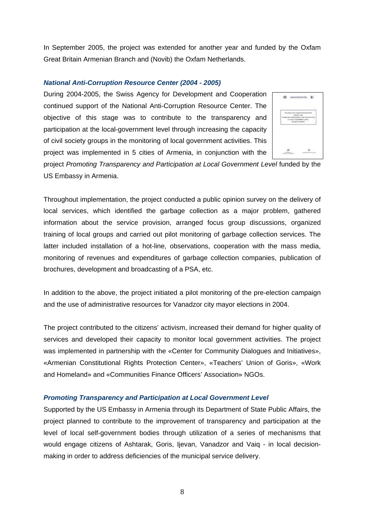In September 2005, the project was extended for another year and funded by the Oxfam Great Britain Armenian Branch and (Novib) the Oxfam Netherlands.

## *National Anti-Corruption Resource Center (2004 - 2005)*

During 2004-2005, the Swiss Agency for Development and Cooperation continued support of the National Anti-Corruption Resource Center. The objective of this stage was to contribute to the transparency and participation at the local-government level through increasing the capacity of civil society groups in the monitoring of local government activities. This project was implemented in 5 cities of Armenia, in conjunction with the



project Promoting Transparency and Participation at Local Government Level funded by the US Embassy in Armenia.

Throughout implementation, the project conducted a public opinion survey on the delivery of local services, which identified the garbage collection as a major problem, gathered information about the service provision, arranged focus group discussions, organized training of local groups and carried out pilot monitoring of garbage collection services. The latter included installation of a hot-line, observations, cooperation with the mass media, monitoring of revenues and expenditures of garbage collection companies, publication of brochures, development and broadcasting of a PSA, etc.

In addition to the above, the project initiated a pilot monitoring of the pre-election campaign and the use of administrative resources for Vanadzor city mayor elections in 2004.

The project contributed to the citizens' activism, increased their demand for higher quality of services and developed their capacity to monitor local government activities. The project was implemented in partnership with the «Center for Community Dialogues and Initiatives», «Armenian Constitutional Rights Protection Center», «Teachers' Union of Goris», «Work and Homeland» and «Communities Finance Officers' Association» NGOs.

#### *Promoting Transparency and Participation at Local Government Level*

Supported by the US Embassy in Armenia through its Department of State Public Affairs, the project planned to contribute to the improvement of transparency and participation at the level of local self-government bodies through utilization of a series of mechanisms that would engage citizens of Ashtarak, Goris, Ijevan, Vanadzor and Vaiq - in local decisionmaking in order to address deficiencies of the municipal service delivery.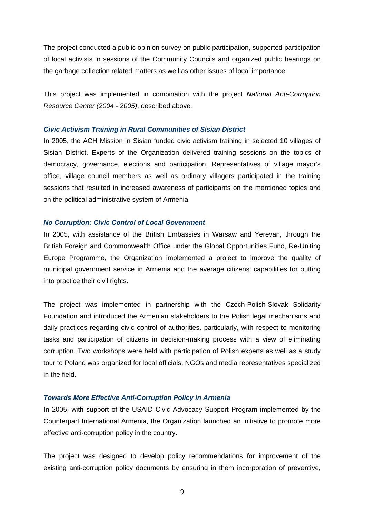The project conducted a public opinion survey on public participation, supported participation of local activists in sessions of the Community Councils and organized public hearings on the garbage collection related matters as well as other issues of local importance.

This project was implemented in combination with the project *National Anti-Corruption Resource Center (2004 - 2005)*, described above*.* 

### *Civic Activism Training in Rural Communities of Sisian District*

In 2005, the ACH Mission in Sisian funded civic activism training in selected 10 villages of Sisian District. Experts of the Organization delivered training sessions on the topics of democracy, governance, elections and participation. Representatives of village mayor's office, village council members as well as ordinary villagers participated in the training sessions that resulted in increased awareness of participants on the mentioned topics and on the political administrative system of Armenia

## *No Corruption: Civic Control of Local Government*

In 2005, with assistance of the British Embassies in Warsaw and Yerevan, through the British Foreign and Commonwealth Office under the Global Opportunities Fund, Re-Uniting Europe Programme, the Organization implemented a project to improve the quality of municipal government service in Armenia and the average citizens' capabilities for putting into practice their civil rights.

The project was implemented in partnership with the Czech-Polish-Slovak Solidarity Foundation and introduced the Armenian stakeholders to the Polish legal mechanisms and daily practices regarding civic control of authorities, particularly, with respect to monitoring tasks and participation of citizens in decision-making process with a view of eliminating corruption. Two workshops were held with participation of Polish experts as well as a study tour to Poland was organized for local officials, NGOs and media representatives specialized in the field.

#### *Towards More Effective Anti-Corruption Policy in Armenia*

In 2005, with support of the USAID Civic Advocacy Support Program implemented by the Counterpart International Armenia, the Organization launched an initiative to promote more effective anti-corruption policy in the country.

The project was designed to develop policy recommendations for improvement of the existing anti-corruption policy documents by ensuring in them incorporation of preventive,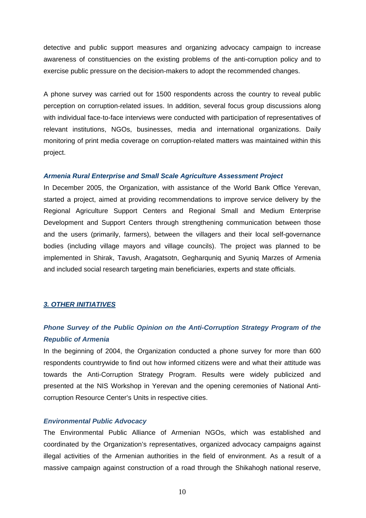detective and public support measures and organizing advocacy campaign to increase awareness of constituencies on the existing problems of the anti-corruption policy and to exercise public pressure on the decision-makers to adopt the recommended changes.

A phone survey was carried out for 1500 respondents across the country to reveal public perception on corruption-related issues. In addition, several focus group discussions along with individual face-to-face interviews were conducted with participation of representatives of relevant institutions, NGOs, businesses, media and international organizations. Daily monitoring of print media coverage on corruption-related matters was maintained within this project.

#### *Armenia Rural Enterprise and Small Scale Agriculture Assessment Project*

In December 2005, the Organization, with assistance of the World Bank Office Yerevan, started a project, aimed at providing recommendations to improve service delivery by the Regional Agriculture Support Centers and Regional Small and Medium Enterprise Development and Support Centers through strengthening communication between those and the users (primarily, farmers), between the villagers and their local self-governance bodies (including village mayors and village councils). The project was planned to be implemented in Shirak, Tavush, Aragatsotn, Gegharquniq and Syuniq Marzes of Armenia and included social research targeting main beneficiaries, experts and state officials.

#### *3. OTHER INITIATIVES*

# *Phone Survey of the Public Opinion on the Anti-Corruption Strategy Program of the Republic of Armenia*

In the beginning of 2004, the Organization conducted a phone survey for more than 600 respondents countrywide to find out how informed citizens were and what their attitude was towards the Anti-Corruption Strategy Program. Results were widely publicized and presented at the NIS Workshop in Yerevan and the opening ceremonies of National Anticorruption Resource Center's Units in respective cities.

## *Environmental Public Advocacy*

The Environmental Public Alliance of Armenian NGOs, which was established and coordinated by the Organization's representatives, organized advocacy campaigns against illegal activities of the Armenian authorities in the field of environment. As a result of a massive campaign against construction of a road through the Shikahogh national reserve,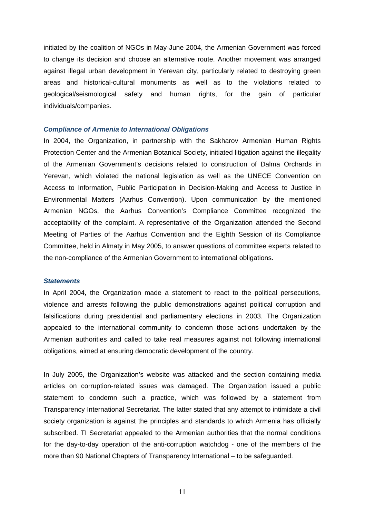initiated by the coalition of NGOs in May-June 2004, the Armenian Government was forced to change its decision and choose an alternative route. Another movement was arranged against illegal urban development in Yerevan city, particularly related to destroying green areas and historical-cultural monuments as well as to the violations related to geological/seismological safety and human rights, for the gain of particular individuals/companies.

#### *Compliance of Armenia to International Obligations*

In 2004, the Organization, in partnership with the Sakharov Armenian Human Rights Protection Center and the Armenian Botanical Society, initiated litigation against the illegality of the Armenian Government's decisions related to construction of Dalma Orchards in Yerevan, which violated the national legislation as well as the UNECE Convention on Access to Information, Public Participation in Decision-Making and Access to Justice in Environmental Matters (Aarhus Convention). Upon communication by the mentioned Armenian NGOs, the Aarhus Convention's Compliance Committee recognized the acceptability of the complaint. A representative of the Organization attended the Second Meeting of Parties of the Aarhus Convention and the Eighth Session of its Compliance Committee, held in Almaty in May 2005, to answer questions of committee experts related to the non-compliance of the Armenian Government to international obligations.

#### *Statements*

In April 2004, the Organization made a statement to react to the political persecutions, violence and arrests following the public demonstrations against political corruption and falsifications during presidential and parliamentary elections in 2003. The Organization appealed to the international community to condemn those actions undertaken by the Armenian authorities and called to take real measures against not following international obligations, aimed at ensuring democratic development of the country.

In July 2005, the Organization's website was attacked and the section containing media articles on corruption-related issues was damaged. The Organization issued a public statement to condemn such a practice, which was followed by a statement from Transparency International Secretariat. The latter stated that any attempt to intimidate a civil society organization is against the principles and standards to which Armenia has officially subscribed. TI Secretariat appealed to the Armenian authorities that the normal conditions for the day-to-day operation of the anti-corruption watchdog - one of the members of the more than 90 National Chapters of Transparency International – to be safeguarded.

11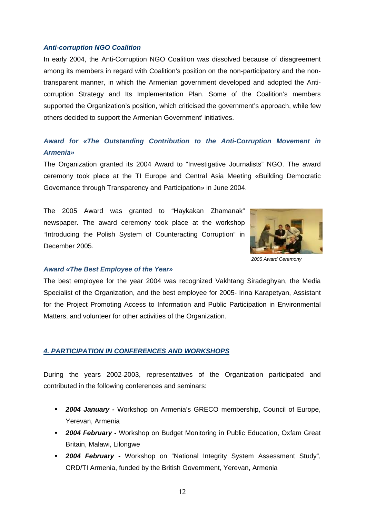#### *Anti-corruption NGO Coalition*

In early 2004, the Anti-Corruption NGO Coalition was dissolved because of disagreement among its members in regard with Coalition's position on the non-participatory and the nontransparent manner, in which the Armenian government developed and adopted the Anticorruption Strategy and Its Implementation Plan. Some of the Coalition's members supported the Organization's position, which criticised the government's approach, while few others decided to support the Armenian Government' initiatives.

# *Award for «The Outstanding Contribution to the Anti-Corruption Movement in Armenia»*

The Organization granted its 2004 Award to "Investigative Journalists" NGO. The award ceremony took place at the TI Europe and Central Asia Meeting «Building Democratic Governance through Transparency and Participation» in June 2004.

The 2005 Award was granted to "Haykakan Zhamanak" newspaper. The award ceremony took place at the workshop "Introducing the Polish System of Counteracting Corruption" in December 2005.



*2005 Award Ceremony* 

#### *Award «The Best Employee of the Year»*

The best employee for the year 2004 was recognized Vakhtang Siradeghyan, the Media Specialist of the Organization, and the best employee for 2005- Irina Karapetyan, Assistant for the Project Promoting Access to Information and Public Participation in Environmental Matters, and volunteer for other activities of the Organization.

#### *4. PARTICIPATION IN CONFERENCES AND WORKSHOPS*

During the years 2002-2003, representatives of the Organization participated and contributed in the following conferences and seminars:

- *2004 January -* Workshop on Armenia's GRECO membership, Council of Europe, Yerevan, Armenia
- *2004 February* Workshop on Budget Monitoring in Public Education, Oxfam Great Britain, Malawi, Lilongwe
- *2004 February -* Workshop on "National Integrity System Assessment Study", CRD/TI Armenia, funded by the British Government, Yerevan, Armenia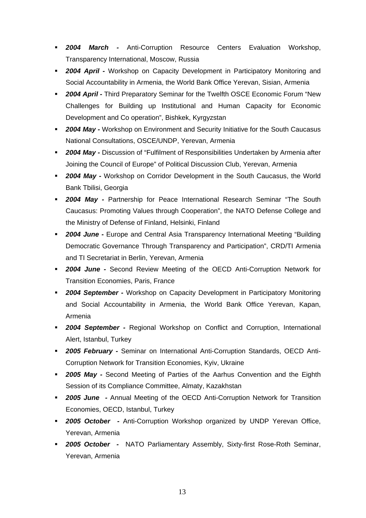- *2004 March -* Anti-Corruption Resource Centers Evaluation Workshop, Transparency International, Moscow, Russia
- *2004 April* Workshop on Capacity Development in Participatory Monitoring and Social Accountability in Armenia, the World Bank Office Yerevan, Sisian, Armenia
- *2004 April -* Third Preparatory Seminar for the Twelfth OSCE Economic Forum "New Challenges for Building up Institutional and Human Capacity for Economic Development and Co operation", Bishkek, Kyrgyzstan
- *2004 May -* Workshop on Environment and Security Initiative for the South Caucasus National Consultations, OSCE/UNDP, Yerevan, Armenia
- *2004 May -* Discussion of "Fulfilment of Responsibilities Undertaken by Armenia after Joining the Council of Europe" of Political Discussion Club, Yerevan, Armenia
- *2004 May -* Workshop on Corridor Development in the South Caucasus, the World Bank Tbilisi, Georgia
- *2004 May -* Partnership for Peace International Research Seminar "The South Caucasus: Promoting Values through Cooperation", the NATO Defense College and the Ministry of Defense of Finland, Helsinki, Finland
- *2004 June -* Europe and Central Asia Transparency International Meeting "Building Democratic Governance Through Transparency and Participation", CRD/TI Armenia and TI Secretariat in Berlin, Yerevan, Armenia
- *2004 June -* Second Review Meeting of the OECD Anti-Corruption Network for Transition Economies, Paris, France
- *2004 September -* Workshop on Capacity Development in Participatory Monitoring and Social Accountability in Armenia, the World Bank Office Yerevan, Kapan, Armenia
- *2004 September -* Regional Workshop on Conflict and Corruption, International Alert, Istanbul, Turkey
- *2005 February -* Seminar on International Anti-Corruption Standards, OECD Anti-Corruption Network for Transition Economies, Kyiv, Ukraine
- *2005 May* Second Meeting of Parties of the Aarhus Convention and the Eighth Session of its Compliance Committee, Almaty, Kazakhstan
- *2005 June -* Annual Meeting of the OECD Anti-Corruption Network for Transition Economies, OECD, Istanbul, Turkey
- *2005 October -* Anti-Corruption Workshop organized by UNDP Yerevan Office, Yerevan, Armenia
- *2005 October -* NATO Parliamentary Assembly, Sixty-first Rose-Roth Seminar, Yerevan, Armenia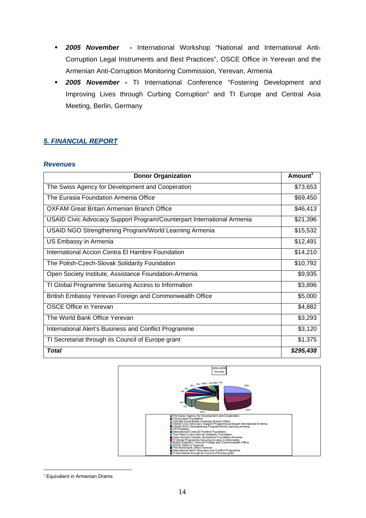- *2005 November -* International Workshop "National and International Anti-Corruption Legal Instruments and Best Practices", OSCE Office in Yerevan and the Armenian Anti-Corruption Monitoring Commission, Yerevan, Armenia
- *2005 November -* TI International Conference "Fostering Development and Improving Lives through Curbing Corruption" and TI Europe and Central Asia Meeting, Berlin, Germany

# *5. FINANCIAL REPORT*

## *Revenues*

| <b>Donor Organization</b>                                              | Amount <sup>1</sup> |  |
|------------------------------------------------------------------------|---------------------|--|
| The Swiss Agency for Development and Cooperation                       |                     |  |
| The Eurasia Foundation Armenia Office                                  | \$69,450            |  |
| OXFAM Great Britain Armenian Branch Office                             | \$46,413            |  |
| USAID Civic Advocacy Support Program/Counterpart International Armenia | \$21,396            |  |
| USAID NGO Strengthening Program/World Learning Armenia                 | \$15,532            |  |
| US Embassy in Armenia                                                  | \$12,491            |  |
| International Accion Contra El Hambre Foundation                       | \$14,210            |  |
| The Polish-Czech-Slovak Solidarity Foundation                          | \$10,792            |  |
| Open Society Institute, Assistance Foundation-Armenia                  | \$9,935             |  |
| TI Global Programme Securing Access to Information                     | \$3,896             |  |
| British Embassy Yerevan Foreign and Commonwealth Office                | \$5,000             |  |
| <b>OSCE Office in Yerevan</b>                                          | \$4,882             |  |
| The World Bank Office Yerevan                                          | \$3,293             |  |
| International Alert's Business and Conflict Programme                  | \$3,120             |  |
| TI Secretariat through its Council of Europe grant                     | \$1,375             |  |
| <b>Total</b>                                                           | \$295,438           |  |



<sup>1</sup> <sup>1</sup> Equivalent in Armenian Drams